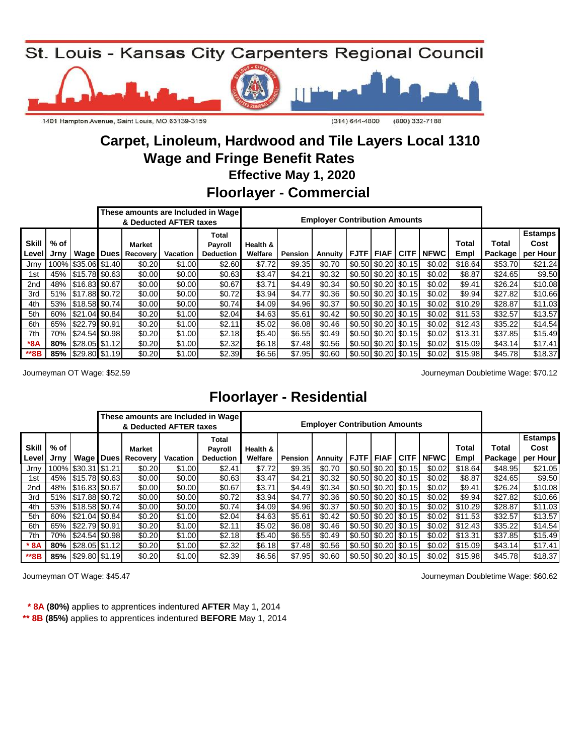

# **Wage and Fringe Benefit Rates Carpet, Linoleum, Hardwood and Tile Layers Local 1310**

 **Effective May 1, 2020**

## **Floorlayer - Commercial**

|                       |                    |                        |                                            | & Deducted AFTER taxes | These amounts are Included in Wage          |                     |                | <b>Employer Contribution Amounts</b> |                       |                                           |             |               |         |                                              |
|-----------------------|--------------------|------------------------|--------------------------------------------|------------------------|---------------------------------------------|---------------------|----------------|--------------------------------------|-----------------------|-------------------------------------------|-------------|---------------|---------|----------------------------------------------|
| <b>Skill</b><br>Level | $%$ of $ $<br>Jrnv |                        | <b>Market</b><br><b>Wage Dues Recovery</b> | Vacation               | Total<br><b>Pavroll</b><br><b>Deduction</b> | Health &<br>Welfare | <b>Pension</b> | <b>Annuity</b>                       | <b>FJTF FIAF CITF</b> |                                           | <b>NFWC</b> | Total<br>Empl | Total   | <b>Estamps</b><br>Cost<br>Package   per Hour |
| Jrny                  |                    | 100% \$35.06 \$1.40    | \$0.20                                     | \$1.00                 | \$2.60                                      | \$7.72              | \$9.35         | \$0.70                               |                       | \$0.50 \$0.20 \$0.15                      | \$0.02      | \$18.64       | \$53.70 | \$21.24                                      |
| 1st                   |                    | 45% \$15.78 \$0.63     | \$0.00                                     | \$0.00                 | \$0.63                                      | \$3.47              | \$4.21         | \$0.32                               |                       | $$0.50$ $$0.20$ $$0.15$                   | \$0.02      | \$8.87        | \$24.65 | \$9.50                                       |
| 2nd                   |                    | 48% 516.83 \$0.67      | \$0.00                                     | \$0.00                 | \$0.67                                      | \$3.71              | \$4.49         | \$0.34                               |                       | \$0.50 \$0.20 \$0.15                      | \$0.02      | \$9.41        | \$26.24 | \$10.08                                      |
| 3rd                   |                    | 51% 517.88 \$0.72      | \$0.00                                     | \$0.00                 | \$0.72                                      | \$3.94              | \$4.77         | \$0.36                               |                       | $$0.50 \, \text{\$0.20} \, \text{\$0.15}$ | \$0.02      | \$9.94        | \$27.82 | \$10.66                                      |
| 4th                   |                    | 53%   \$18.58 \$0.74   | \$0.00                                     | \$0.00                 | \$0.74                                      | \$4.09              | \$4.96         | \$0.37                               |                       | $$0.50$ $$0.20$ $$0.15$                   | \$0.02      | \$10.29       | \$28.87 | \$11.03                                      |
| 5th                   |                    | 60% \$21.04 \$0.84     | \$0.20                                     | \$1.00                 | \$2.04                                      | \$4.63              | \$5.61         | \$0.42                               |                       | \$0.50 \$0.20 \$0.15                      | \$0.02      | \$11.53       | \$32.57 | \$13.57                                      |
| 6th                   |                    | 65% \$22.79 \$0.91     | \$0.20                                     | \$1.00                 | \$2.11                                      | \$5.02              | \$6.08         | \$0.46                               |                       | \$0.50 \$0.20 \$0.15                      | \$0.02      | \$12.43       | \$35.22 | \$14.54                                      |
| 7th                   |                    | 70%   \$24.54   \$0.98 | \$0.20                                     | \$1.00                 | \$2.18                                      | \$5.40              | \$6.55         | \$0.49                               |                       | \$0.50 \$0.20 \$0.15                      | \$0.02      | \$13.31       | \$37.85 | \$15.49                                      |
| $*8A$                 |                    | 80%   \$28.05   \$1.12 | \$0.20                                     | \$1.00                 | \$2.32                                      | \$6.18              | \$7.48         | \$0.56                               |                       | $\left  0.50 \right  0.20$ \cdots 0.15    | \$0.02      | \$15.09       | \$43.14 | \$17.41                                      |
| **8B                  |                    | 85%   \$29.80   \$1.19 | \$0.20                                     | \$1.00                 | \$2.39                                      | \$6.56              | \$7.95         | \$0.60                               |                       | $\left  0.50 \right  0.20$ \cdots 0.15    | \$0.02      | \$15.98       | \$45.78 | \$18.37                                      |

Journeyman OT Wage: \$52.59 Journeyman Doubletime Wage: \$70.12

## **Floorlayer - Residential**

|                              |              |                        |                           | & Deducted AFTER taxes | These amounts are Included in Wage   |                     |                | <b>Employer Contribution Amounts</b> |             |                                           |             |             |               |                         |                                    |
|------------------------------|--------------|------------------------|---------------------------|------------------------|--------------------------------------|---------------------|----------------|--------------------------------------|-------------|-------------------------------------------|-------------|-------------|---------------|-------------------------|------------------------------------|
| <b>Skill</b><br><b>Level</b> | % of<br>Jrny | Wage   Dues            | Market<br><b>Recovery</b> | Vacation               | Total<br>Payroll<br><b>Deduction</b> | Health &<br>Welfare | <b>Pension</b> | Annuity                              | <b>FJTF</b> | <b>FIAF</b>                               | <b>CITF</b> | <b>NFWC</b> | Total<br>Empl | Total<br><b>Package</b> | <b>Estamps</b><br>Cost<br>per Hour |
| Jrny                         |              | 100% \$30.31 \$1.21    | \$0.20                    | \$1.00                 | \$2.41                               | \$7.72              | \$9.35         | \$0.70                               |             | $$0.50$ $$0.20$ $$0.15$                   |             | \$0.02      | \$18.64       | \$48.95                 | \$21.05                            |
| 1st                          |              | 45% \$15.78 \$0.63     | \$0.00                    | \$0.00                 | \$0.63                               | \$3.47              | \$4.21         | \$0.32                               |             | $$0.50$ $$0.20$ $$0.15$                   |             | \$0.02      | \$8.87        | \$24.65                 | \$9.50                             |
| 2nd                          |              | 48% \$16.83 \$0.67     | \$0.00                    | \$0.00                 | \$0.67                               | \$3.71              | \$4.49         | \$0.34                               |             | $$0.50 \, \text{$}0.20 \, \text{$}0.15$   |             | \$0.02      | \$9.41        | \$26.24                 | \$10.08                            |
| 3rd                          |              | 51% 517.88 \$0.72      | \$0.00                    | \$0.00                 | \$0.72                               | \$3.94              | \$4.77         | \$0.36                               |             | \$0.50 \$0.20 \$0.15                      |             | \$0.02      | \$9.94        | \$27.82                 | \$10.66                            |
| 4th                          |              | 53% 518.58 \$0.74      | \$0.00                    | \$0.00                 | \$0.74                               | \$4.09              | \$4.96         | \$0.37                               |             | $$0.50 \; $0.20 \; $0.15]$                |             | \$0.02      | \$10.29       | \$28.87                 | \$11.03                            |
| 5th                          |              | 60% 521.04 \$0.84      | \$0.20                    | \$1.00                 | \$2.04                               | \$4.63              | \$5.61         | \$0.42                               |             | \$0.50 \$0.20 \$0.15                      |             | \$0.02      | \$11.53       | \$32.57                 | \$13.57                            |
| 6th                          |              | 65%   \$22.79   \$0.91 | \$0.20                    | \$1.00                 | \$2.11                               | \$5.02              | \$6.08         | \$0.46                               |             | $$0.50 \, \text{\$0.20} \, \text{\$0.15}$ |             | \$0.02      | \$12.43       | \$35.22                 | \$14.54                            |
| 7th                          |              | 70%   \$24.54   \$0.98 | \$0.20                    | \$1.00                 | \$2.18                               | \$5.40              | \$6.55         | \$0.49                               |             | $$0.50$ $$0.20$ $$0.15$                   |             | \$0.02      | \$13.31       | \$37.85                 | \$15.49                            |
| $*8A$                        |              | 80%   \$28.05   \$1.12 | \$0.20                    | \$1.00                 | \$2.32                               | \$6.18              | \$7.48         | \$0.56                               |             | $$0.50$ $$0.20$ $$0.15$                   |             | \$0.02      | \$15.09       | \$43.14]                | \$17.41                            |
| **8B                         |              | 85%   \$29.80   \$1.19 | \$0.20                    | \$1.00                 | \$2.39                               | \$6.56              | \$7.95         | \$0.60                               |             | $$0.50 \, \text{$}0.20 \, \text{$}0.15$   |             | \$0.02      | \$15.98       | \$45.78                 | \$18.37                            |

Journeyman OT Wage: \$45.47 Journeyman Doubletime Wage: \$60.62

 **\* 8A (80%)** applies to apprentices indentured **AFTER** May 1, 2014

**\*\* 8B (85%)** applies to apprentices indentured **BEFORE** May 1, 2014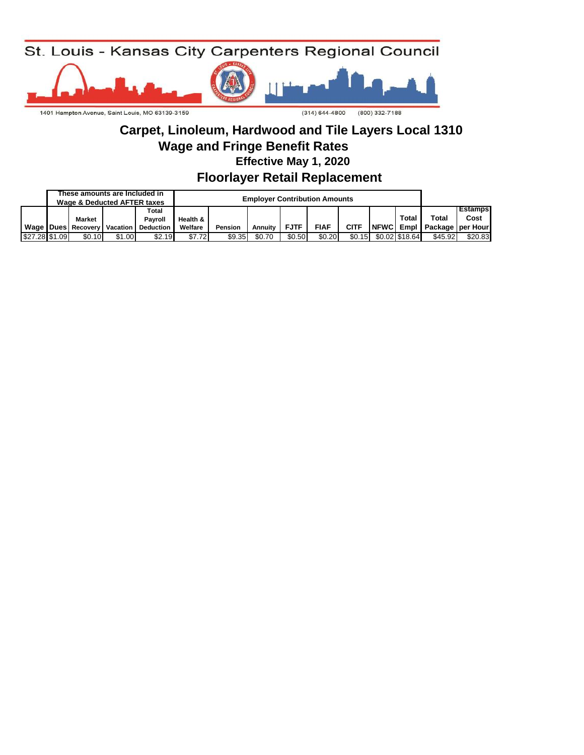

### **Wage and Fringe Benefit Rates Carpet, Linoleum, Hardwood and Tile Layers Local 1310 Effective May 1, 2020**

**Floorlayer Retail Replacement** 

|                | These amounts are Included in<br>Wage & Deducted AFTER taxes |        |                    |          |         | <b>Employer Contribution Amounts</b> |             |             |             |                |                            |         |
|----------------|--------------------------------------------------------------|--------|--------------------|----------|---------|--------------------------------------|-------------|-------------|-------------|----------------|----------------------------|---------|
|                |                                                              |        | Total              |          |         | <b>Estamps</b>                       |             |             |             |                |                            |         |
|                | Market                                                       |        | Pavroll            | Health & |         |                                      |             |             |             | Total          | <b>Total</b>               | Cost    |
|                | Wage   Dues   Recovery   Vacation                            |        | <b>Deduction</b> I | Welfare  | Pension | <b>Annuity</b>                       | <b>FJTF</b> | <b>FIAF</b> | <b>CITF</b> |                | NFWC Empl Package per Hour |         |
| \$27.28 \$1.09 | \$0.10                                                       | \$1.00 | \$2.19             | \$7.72   | \$9.35  | \$0.70                               | \$0.50      | \$0.20      | \$0.15      | \$0.02 \$18.64 | \$45.92                    | \$20.83 |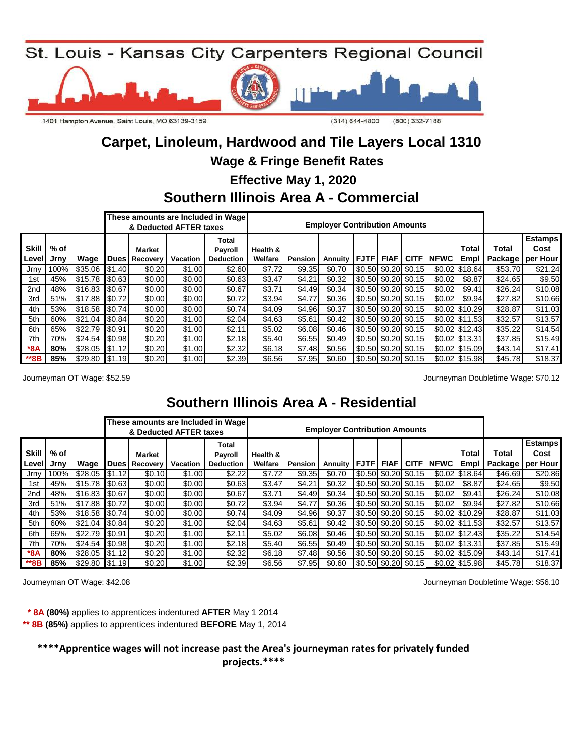

### **Carpet, Linoleum, Hardwood and Tile Layers Local 1310 Wage & Fringe Benefit Rates**

 **Effective May 1, 2020**

## **Southern Illinois Area A - Commercial**

|                              |              |                  |                                                                                                                   | & Deducted AFTER taxes |        | These amounts are Included in Wage |                     |         | <b>Employer Contribution Amounts</b> |                                           |             |                      |                 |          |                                              |
|------------------------------|--------------|------------------|-------------------------------------------------------------------------------------------------------------------|------------------------|--------|------------------------------------|---------------------|---------|--------------------------------------|-------------------------------------------|-------------|----------------------|-----------------|----------|----------------------------------------------|
| <b>Skill</b><br><b>Level</b> | % of<br>Jrny | Wage             | <b>Total</b><br><b>Market</b><br><b>Payroll</b><br><b>Dues</b><br><b>Recovery</b><br>Vacation<br><b>Deduction</b> |                        |        |                                    | Health &<br>Welfare | Pension | Annuity                              | <b>IFJTF</b>                              | <b>FIAF</b> | <b>CITF   NFWC  </b> | Total<br>Empl   | Total    | <b>Estamps</b><br>Cost<br>Package   per Hour |
| Jrny                         | 100%         | $$35.06$ $$1.40$ |                                                                                                                   | \$0.20                 | \$1.00 | \$2.60                             | \$7.72              | \$9.35  | \$0.70                               | $\left  0.50 \right  0.20$ \cdots 0.15    |             |                      | \$0.02 \$18.64  | \$53.70  | \$21.24                                      |
| 1st                          | 45%          | $$15.78$ $$0.63$ |                                                                                                                   | \$0.00                 | \$0.00 | \$0.63                             | \$3.47              | \$4.21  | \$0.32                               | $\sqrt{$0.50 \times 20}$ \$0.15           |             | \$0.02               | \$8.87          | \$24.65  | \$9.50                                       |
| 2 <sub>nd</sub>              | 48%          | \$16.83 \$0.67   |                                                                                                                   | \$0.00                 | \$0.00 | \$0.67                             | \$3.71              | \$4.49  | \$0.34                               | \$0.50 \$0.20 \$0.15                      |             | \$0.02               | \$9.41          | \$26.24  | \$10.08                                      |
| 3rd                          | 51%          | \$17.88 \$0.72   |                                                                                                                   | \$0.00                 | \$0.00 | \$0.72                             | \$3.94              | \$4.77  | \$0.36                               | $$0.50 \, \text{\$0.20} \, \text{\$0.15}$ |             | \$0.02               | \$9.94          | \$27.82  | \$10.66                                      |
| 4th                          | 53%          | $$18.58$ $$0.74$ |                                                                                                                   | \$0.00                 | \$0.00 | \$0.74                             | \$4.09              | \$4.96  | \$0.37                               | $\left  0.50 \right  0.20$ \cdots 0.15    |             |                      | \$0.02 \$10.29  | \$28.87  | \$11.03                                      |
| 5th                          | 60%          | $$21.04$ $$0.84$ |                                                                                                                   | \$0.20                 | \$1.00 | \$2.04                             | \$4.63              | \$5.61  | \$0.42                               | $\vert$ \$0.50 \ \$0.20 \ \$0.15          |             |                      | $$0.02$ \$11.53 | \$32.57  | \$13.57                                      |
| 6th                          | 65%          | \$22.79          | \$0.91                                                                                                            | \$0.20                 | \$1.00 | \$2.11                             | \$5.02              | \$6.08  | \$0.46                               | \$0.50 \$0.20 \$0.15                      |             |                      | $$0.02$ \$12.43 | \$35.22  | \$14.54                                      |
| 7th                          | 70%          | $$24.54$ $$0.98$ |                                                                                                                   | \$0.20                 | \$1.00 | \$2.18                             | \$5.40              | \$6.55  | \$0.49                               | \$0.50 \$0.20 \$0.15                      |             |                      | \$0.02 \$13.31  | \$37.85  | \$15.49                                      |
| $*8A$                        | $80\%$       | $$28.05$ $$1.12$ |                                                                                                                   | \$0.20                 | \$1.00 | \$2.32                             | \$6.18              | \$7.48  | \$0.56                               | $$0.50$ $$0.20$ $$0.15$                   |             |                      | \$0.02 \$15.09  | \$43.14] | \$17.41                                      |
| **8B                         | 85%          | $$29.80$ \\$1.19 |                                                                                                                   | \$0.20                 | \$1.00 | \$2.39                             | \$6.56              | \$7.95  | \$0.60                               | \$0.50 \$0.20 \$0.15                      |             |                      | \$0.02 \$15.98  | \$45.78  | \$18.37                                      |

Journeyman OT Wage: \$52.59

Journeyman Doubletime Wage: \$70.12

# **Southern Illinois Area A - Residential**

|                       |              |                  |        |                                       | & Deducted AFTER taxes | These amounts are Included in Wage          |                     |                | <b>Employer Contribution Amounts</b> |                              |                         |             |                      |                  |                                    |
|-----------------------|--------------|------------------|--------|---------------------------------------|------------------------|---------------------------------------------|---------------------|----------------|--------------------------------------|------------------------------|-------------------------|-------------|----------------------|------------------|------------------------------------|
| <b>Skill</b><br>Level | % of<br>Jrny | Wage             |        | <b>Market</b><br><b>Dues</b> Recovery | Vacation               | Total<br><b>Payroll</b><br><b>Deduction</b> | Health &<br>Welfare | <b>Pension</b> | Annuity   FJTF   FIAF                |                              | <b>CITE</b>             | <b>NFWC</b> | <b>Total</b><br>Empl | Total<br>Package | <b>Estamps</b><br>Cost<br>per Hour |
| Jrny                  | 100%         | $$28.05$ $$1.12$ |        | \$0.10                                | \$1.00                 | \$2.22                                      | \$7.72              | \$9.35         | \$0.70                               |                              | \$0.50 \$0.20 \$0.15    |             | \$0.02 \$18.64       | \$46.69          | \$20.86                            |
| 1st                   | 45%          | $$15.78$ $$0.63$ |        | \$0.00                                | \$0.00                 | \$0.63                                      | \$3.47              | \$4.21         | \$0.32                               |                              | $$0.50$ $$0.20$ $$0.15$ | \$0.02      | \$8.87               | \$24.65          | \$9.50                             |
| 2nd                   | 48%          | $$16.83$ $$0.67$ |        | \$0.00                                | \$0.00                 | \$0.67                                      | \$3.71              | \$4.49         | \$0.34                               |                              | \$0.50 \$0.20 \$0.15    | \$0.02      | \$9.41               | \$26.24          | \$10.08                            |
| 3rd                   | 51%          | \$17.88 \$0.72   |        | \$0.00                                | \$0.00                 | \$0.72                                      | \$3.94              | \$4.77         | \$0.36                               |                              | \$0.50 \$0.20 \$0.15    | \$0.02      | \$9.94               | \$27.82          | \$10.66                            |
| 4th                   | 53%          | $$18.58$ $$0.74$ |        | \$0.00                                | \$0.00                 | \$0.74                                      | \$4.09              | \$4.96         | \$0.37                               |                              | $$0.50$ $$0.20$ $$0.15$ |             | \$0.02 \$10.29       | \$28.87          | \$11.03                            |
| 5th                   | 60%          | $$21.04$ $$0.84$ |        | \$0.20                                | \$1.00                 | \$2.04                                      | \$4.63              | \$5.61         | \$0.42                               |                              | \$0.50 \$0.20 \$0.15    |             | \$0.02 \$11.53       | \$32.57          | \$13.57                            |
| 6th                   | 65%          | \$22.79          | \$0.91 | \$0.20                                | \$1.00                 | \$2.11                                      | \$5.02              | \$6.08         | \$0.46                               | $$0.50$ $$0.20$ $$0.15$      |                         |             | \$0.02 \$12.43       | \$35.22          | \$14.54                            |
| 7th                   | 70%          | $$24.54$ $$0.98$ |        | \$0.20                                | \$1.00                 | \$2.18                                      | \$5.40              | \$6.55         | \$0.49                               | $\vert$ \$0.50 \$0.20 \$0.15 |                         |             | \$0.02 \$13.31       | \$37.85          | \$15.49                            |
| $*8A$                 | 80%          | $$28.05$ $$1.12$ |        | \$0.20                                | \$1.00                 | \$2.32                                      | \$6.18              | \$7.48         | \$0.56                               |                              | $$0.50$ $$0.20$ $$0.15$ |             | \$0.02 \$15.09       | \$43.14]         | \$17.41                            |
| **8B                  | 85%          | $$29.80$ $$1.19$ |        | \$0.20                                | \$1.00                 | \$2.39                                      | \$6.56              | \$7.95         | \$0.60                               |                              | $$0.50$ $$0.20$ $$0.15$ |             | \$0.02 \$15.98       | \$45.78          | \$18.37                            |

Journeyman OT Wage: \$42.08 Journeyman Doubletime Wage: \$56.10

 **\* 8A (80%)** applies to apprentices indentured **AFTER** May 1 2014

**\*\* 8B (85%)** applies to apprentices indentured **BEFORE** May 1, 2014

**\*\*\*\*Apprentice wages will not increase past the Area's journeyman rates for privately funded projects.\*\*\*\***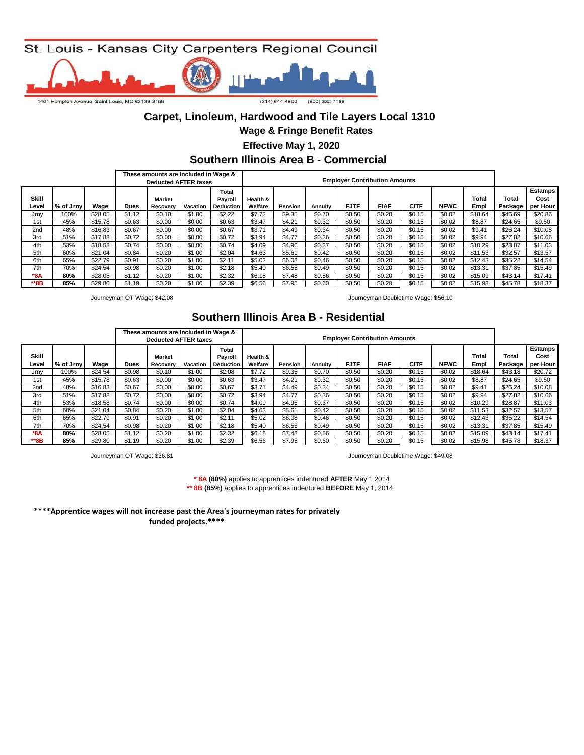

#### **Carpet, Linoleum, Hardwood and Tile Layers Local 1310**

**Wage & Fringe Benefit Rates**

 **Effective May 1, 2020**

**Southern Illinois Area B - Commercial** 

|                 |           |         |        | These amounts are Included in Wage &<br><b>Deducted AFTER taxes</b> |          |                                      |                     |         |         |             | <b>Employer Contribution Amounts</b> |             |             |               |                  |                                    |
|-----------------|-----------|---------|--------|---------------------------------------------------------------------|----------|--------------------------------------|---------------------|---------|---------|-------------|--------------------------------------|-------------|-------------|---------------|------------------|------------------------------------|
| Skill<br>Level  | % of Jrnv | Wage    | Dues   | <b>Market</b><br>Recovery                                           | Vacation | Total<br>Payroll<br><b>Deduction</b> | Health &<br>Welfare | Pension | Annuitv | <b>FJTF</b> | <b>FIAF</b>                          | <b>CITF</b> | <b>NFWC</b> | Total<br>Empl | Total<br>Package | <b>Estamps</b><br>Cost<br>per Hour |
| Jrny            | 100%      | \$28.05 | \$1.12 | \$0.10                                                              | \$1.00   | \$2.22                               | \$7.72              | \$9.35  | \$0.70  | \$0.50      | \$0.20                               | \$0.15      | \$0.02      | \$18.64       | \$46.69          | \$20.86                            |
| 1st             | 45%       | \$15.78 | \$0.63 | \$0.00                                                              | \$0.00   | \$0.63                               | \$3.47              | \$4.21  | \$0.32  | \$0.50      | \$0.20                               | \$0.15      | \$0.02      | \$8.87        | \$24.65          | \$9.50                             |
| 2 <sub>nd</sub> | 48%       | \$16.83 | \$0.67 | \$0.00                                                              | \$0.00   | \$0.67                               | \$3.71              | \$4.49  | \$0.34  | \$0.50      | \$0.20                               | \$0.15      | \$0.02      | \$9.41        | \$26.24          | \$10.08                            |
| 3rd             | 51%       | \$17.88 | \$0.72 | \$0.00                                                              | \$0.00   | \$0.72                               | \$3.94              | \$4.77  | \$0.36  | \$0.50      | \$0.20                               | \$0.15      | \$0.02      | \$9.94        | \$27.82          | \$10.66                            |
| 4th             | 53%       | \$18.58 | \$0.74 | \$0.00                                                              | \$0.00   | \$0.74                               | \$4.09              | \$4.96  | \$0.37  | \$0.50      | \$0.20                               | \$0.15      | \$0.02      | \$10.29       | \$28.87          | \$11.03                            |
| 5th             | 60%       | \$21.04 | \$0.84 | \$0.20                                                              | \$1.00   | \$2.04                               | \$4.63              | \$5.61  | \$0.42  | \$0.50      | \$0.20                               | \$0.15      | \$0.02      | \$11.53       | \$32.57          | \$13.57                            |
| 6th             | 65%       | \$22.79 | \$0.91 | \$0.20                                                              | \$1.00   | \$2.11                               | \$5.02              | \$6.08  | \$0.46  | \$0.50      | \$0.20                               | \$0.15      | \$0.02      | \$12.43       | \$35.22          | \$14.54                            |
| 7th             | 70%       | \$24.54 | \$0.98 | \$0.20                                                              | \$1.00   | \$2.18                               | \$5.40              | \$6.55  | \$0.49  | \$0.50      | \$0.20                               | \$0.15      | \$0.02      | \$13.31       | \$37.85          | \$15.49                            |
| $*8A$           | 80%       | \$28.05 | \$1.12 | \$0.20                                                              | \$1.00   | \$2.32                               | \$6.18              | \$7.48  | \$0.56  | \$0.50      | \$0.20                               | \$0.15      | \$0.02      | \$15.09       | \$43.14          | \$17.41                            |
| **8B            | 85%       | \$29.80 | \$1.19 | \$0.20                                                              | \$1.00   | \$2.39                               | \$6.56              | \$7.95  | \$0.60  | \$0.50      | \$0.20                               | \$0.15      | \$0.02      | \$15.98       | \$45.78          | \$18.37                            |

Journeyman OT Wage: \$42.08 Journeyman Doubletime Wage: \$56.10

#### **Southern Illinois Area B - Residential**

|                |           |         |        | These amounts are Included in Wage &<br><b>Deducted AFTER taxes</b> |          |                                      |                     |         |         |             | <b>Employer Contribution Amounts</b> |             |             |               |                  |                             |
|----------------|-----------|---------|--------|---------------------------------------------------------------------|----------|--------------------------------------|---------------------|---------|---------|-------------|--------------------------------------|-------------|-------------|---------------|------------------|-----------------------------|
| Skill<br>Level | % of Jrny | Wage    | Dues   | <b>Market</b><br>Recovery                                           | Vacation | Total<br>Payroll<br><b>Deduction</b> | Health &<br>Welfare | Pension | Annuity | <b>FJTF</b> | <b>FIAF</b>                          | <b>CITF</b> | <b>NFWC</b> | Total<br>Empl | Total<br>Package | Estamps<br>Cost<br>per Hour |
| Jrnv           | 100%      | \$24.54 | \$0.98 | \$0.10                                                              | \$1.00   | \$2.08                               | \$7.72              | \$9.35  | \$0.70  | \$0.50      | \$0.20                               | \$0.15      | \$0.02      | \$18.64       | \$43.18          | \$20.72                     |
| 1st            | 45%       | \$15.78 | \$0.63 | \$0.00                                                              | \$0.00   | \$0.63                               | \$3.47              | \$4.21  | \$0.32  | \$0.50      | \$0.20                               | \$0.15      | \$0.02      | \$8.87        | \$24.65          | \$9.50                      |
| 2nd            | 48%       | \$16.83 | \$0.67 | \$0.00                                                              | \$0.00   | \$0.67                               | \$3.71              | \$4.49  | \$0.34  | \$0.50      | \$0.20                               | \$0.15      | \$0.02      | \$9.41        | \$26.24          | \$10.08                     |
| 3rd            | 51%       | \$17.88 | \$0.72 | \$0.00                                                              | \$0.00   | \$0.72                               | \$3.94              | \$4.77  | \$0.36  | \$0.50      | \$0.20                               | \$0.15      | \$0.02      | \$9.94        | \$27.82          | \$10.66                     |
| 4th            | 53%       | \$18.58 | \$0.74 | \$0.00                                                              | \$0.00   | \$0.74                               | \$4.09              | \$4.96  | \$0.37  | \$0.50      | \$0.20                               | \$0.15      | \$0.02      | \$10.29       | \$28.87          | \$11.03                     |
| 5th            | 60%       | \$21.04 | \$0.84 | \$0.20                                                              | \$1.00   | \$2.04                               | \$4.63              | \$5.61  | \$0.42  | \$0.50      | \$0.20                               | \$0.15      | \$0.02      | \$11.53       | \$32.57          | \$13.57                     |
| 6th            | 65%       | \$22.79 | \$0.91 | \$0.20                                                              | \$1.00   | \$2.11                               | \$5.02              | \$6.08  | \$0.46  | \$0.50      | \$0.20                               | \$0.15      | \$0.02      | \$12.43       | \$35.22          | \$14.54                     |
| 7th            | 70%       | \$24.54 | \$0.98 | \$0.20                                                              | \$1.00   | \$2.18                               | \$5.40              | \$6.55  | \$0.49  | \$0.50      | \$0.20                               | \$0.15      | \$0.02      | \$13.31       | \$37.85          | \$15.49                     |
| $*8A$          | 80%       | \$28.05 | \$1.12 | \$0.20                                                              | \$1.00   | \$2.32                               | \$6.18              | \$7.48  | \$0.56  | \$0.50      | \$0.20                               | \$0.15      | \$0.02      | \$15.09       | \$43.14          | \$17.41                     |
| **8B           | 85%       | \$29.80 | \$1.19 | \$0.20                                                              | \$1.00   | \$2.39                               | \$6.56              | \$7.95  | \$0.60  | \$0.50      | \$0.20                               | \$0.15      | \$0.02      | \$15.98       | \$45.78          | \$18.37                     |

Journeyman OT Wage: \$36.81 Journeyman Doubletime Wage: \$49.08

**\*\* 8B (85%)** applies to apprentices indentured **BEFORE** May 1, 2014  **\* 8A (80%)** applies to apprentices indentured **AFTER** May 1 2014

**\*\*\*\*Apprentice wages will not increase past the Area's journeyman rates for privately funded projects.\*\*\*\***